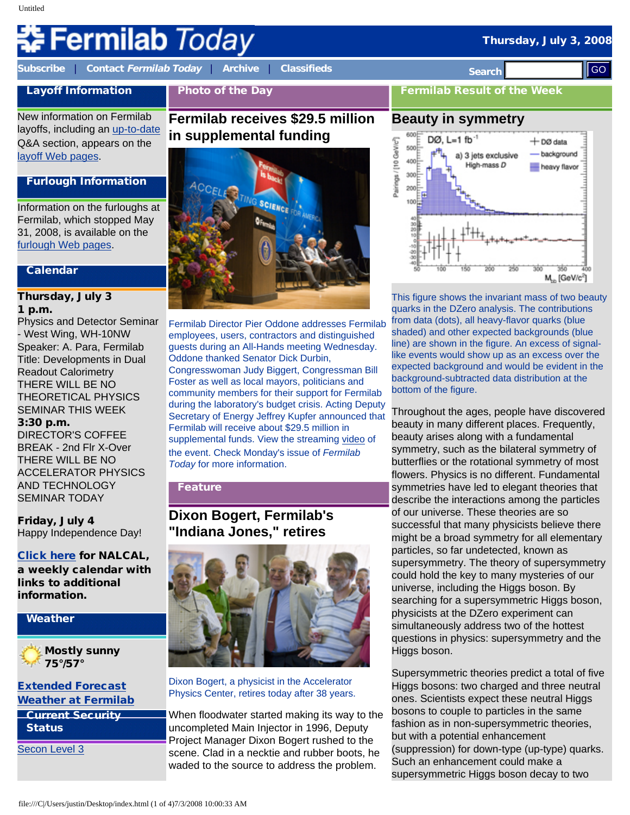# **Fermilab Today**

**[Subscribe](http://www.fnal.gov/pub/today/subscription.html)** | **Contact [Fermilab Today](mailto:today@fnal.gov)** | **[Archive](http://www.fnal.gov/pub/today/archive.html)** | **[Classifieds](http://www.fnal.gov/pub/today/classifieds.html) Search** 

Photo of the Day

New information on Fermilab layoffs, including an [up-to-date](http://www.fnal.gov/faw/layoffs/q_and_a.html) Q&A section, appears on the [layoff Web pages.](http://www.fnal.gov/faw/layoffs/)

Layoff Information

#### Furlough Information

Information on the furloughs at Fermilab, which stopped May 31, 2008, is available on the [furlough Web pages](http://www.fnal.gov/faw/furlough/index.html).

#### Calendar

#### Thursday, July 3 1 p.m.

Physics and Detector Seminar - West Wing, WH-10NW Speaker: A. Para, Fermilab Title: Developments in Dual Readout Calorimetry THERE WILL BE NO THEORETICAL PHYSICS SEMINAR THIS WEEK 3:30 p.m.

DIRECTOR'S COFFEE BREAK - 2nd Flr X-Over THERE WILL BE NO ACCELERATOR PHYSICS AND TECHNOLOGY SEMINAR TODAY

Friday, July 4 Happy Independence Day!

[Click here](http://www.fnal.gov/directorate/nalcal/nalcal07_07_08.html) for NALCAL, a weekly calendar with links to additional information.

# Weather

### Mostly sunny **75°/57°**

[Extended Forecast](http://forecast.weather.gov/MapClick.php?CityName=Batavia&state=IL&site=LOT) [Weather at Fermilab](http://www-esh.fnal.gov/pls/default/weather.html)

Current Security **Status** 

[Secon Level 3](http://www.fnal.gov/pub/about/public_affairs/currentstatus.html)

# **Fermilab receives \$29.5 million in supplemental funding**



Fermilab Director Pier Oddone addresses Fermilab employees, users, contractors and distinguished guests during an All-Hands meeting Wednesday. Oddone thanked Senator Dick Durbin, Congresswoman Judy Biggert, Congressman Bill Foster as well as local mayors, politicians and community members for their support for Fermilab during the laboratory's budget crisis. Acting Deputy Secretary of Energy Jeffrey Kupfer announced that Fermilab will receive about \$29.5 million in supplemental funds. View the streaming [video](http://vmsstreamer1.fnal.gov/VMS_Site_03/Lectures/AllHands/080702AllHands/index.htm) of the event. Check Monday's issue of *Fermilab Today* for more information.

### Feature

# **Dixon Bogert, Fermilab's "Indiana Jones," retires**



Dixon Bogert, a physicist in the Accelerator Physics Center, retires today after 38 years.

When floodwater started making its way to the uncompleted Main Injector in 1996, Deputy Project Manager Dixon Bogert rushed to the scene. Clad in a necktie and rubber boots, he waded to the source to address the problem.

Fermilab Result of the Week

# **Beauty in symmetry**



This figure shows the invariant mass of two beauty quarks in the DZero analysis. The contributions from data (dots), all heavy-flavor quarks (blue shaded) and other expected backgrounds (blue line) are shown in the figure. An excess of signallike events would show up as an excess over the expected background and would be evident in the background-subtracted data distribution at the bottom of the figure.

Throughout the ages, people have discovered beauty in many different places. Frequently, beauty arises along with a fundamental symmetry, such as the bilateral symmetry of butterflies or the rotational symmetry of most flowers. Physics is no different. Fundamental symmetries have led to elegant theories that describe the interactions among the particles of our universe. These theories are so successful that many physicists believe there might be a broad symmetry for all elementary particles, so far undetected, known as supersymmetry. The theory of supersymmetry could hold the key to many mysteries of our universe, including the Higgs boson. By searching for a supersymmetric Higgs boson, physicists at the DZero experiment can simultaneously address two of the hottest questions in physics: supersymmetry and the Higgs boson. files with the state of 4) and the state of 4) and the state of 4) and the state of 4) and the state of 4) and the state of 4) and the state of 4) and the state of 4) and the state of 4) and the state of 4) and the state

Supersymmetric theories predict a total of five Higgs bosons: two charged and three neutral ones. Scientists expect these neutral Higgs bosons to couple to particles in the same fashion as in non-supersymmetric theories, but with a potential enhancement (suppression) for down-type (up-type) quarks. Such an enhancement could make a supersymmetric Higgs boson decay to two

# Thursday, July 3, 2008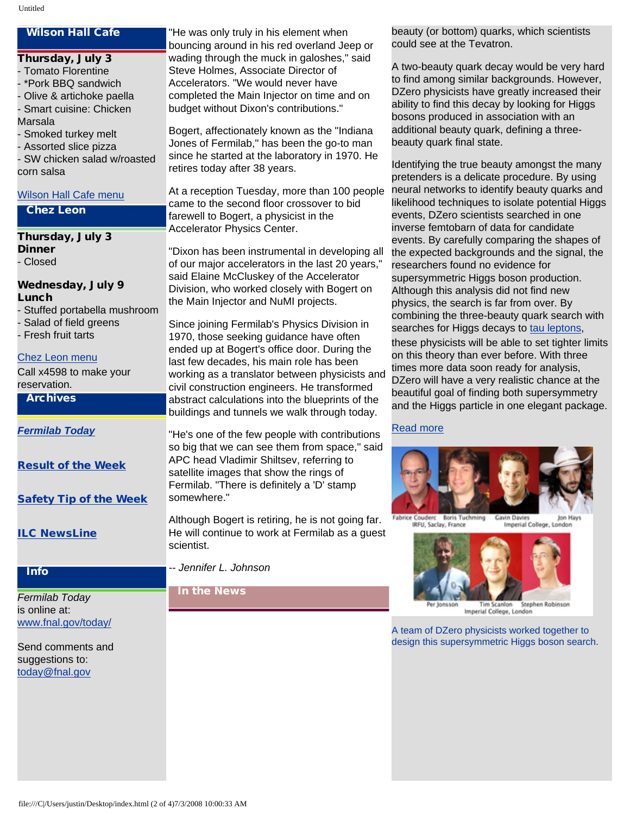### Wilson Hall Cafe

- Thursday, July 3 - Tomato Florentine - \*Pork BBQ sandwich
- Olive & artichoke paella
- Smart cuisine: Chicken
- Marsala
- Smoked turkey melt
- Assorted slice pizza
- SW chicken salad w/roasted corn salsa

#### [Wilson Hall Cafe menu](http://bss.fnal.gov/cafe/index.html)

#### Chez Leon

# Thursday, July 3

Dinner - Closed

#### Wednesday, July 9 Lunch

- Stuffed portabella mushroom
- Salad of field greens
- Fresh fruit tarts

#### [Chez Leon menu](http://bss.fnal.gov/chezleon/index.html)

Call x4598 to make your reservation.

#### Archives

*[Fermilab Today](http://www.fnal.gov/pub/today/archive.html)*

[Result of the Week](http://www.fnal.gov/pub/today/resultoftheweek/index.html)

[Safety Tip of the Week](http://www.fnal.gov/pub/today/safety/)

[ILC NewsLine](http://www.linearcollider.org/newsline/archive/index.html)

#### Info

*Fermilab Today* is online at: [www.fnal.gov/today/](http://www.fnal.gov/today/)

Send comments and suggestions to: [today@fnal.gov](mailto:today@fnal.gov)

"He was only truly in his element when bouncing around in his red overland Jeep or wading through the muck in galoshes," said Steve Holmes, Associate Director of Accelerators. "We would never have completed the Main Injector on time and on budget without Dixon's contributions."

Bogert, affectionately known as the "Indiana Jones of Fermilab," has been the go-to man since he started at the laboratory in 1970. He retires today after 38 years.

At a reception Tuesday, more than 100 people came to the second floor crossover to bid farewell to Bogert, a physicist in the Accelerator Physics Center.

"Dixon has been instrumental in developing all of our major accelerators in the last 20 years," said Elaine McCluskey of the Accelerator Division, who worked closely with Bogert on the Main Injector and NuMI projects.

Since joining Fermilab's Physics Division in 1970, those seeking guidance have often ended up at Bogert's office door. During the last few decades, his main role has been working as a translator between physicists and civil construction engineers. He transformed abstract calculations into the blueprints of the buildings and tunnels we walk through today.

"He's one of the few people with contributions so big that we can see them from space," said APC head Vladimir Shiltsev, referring to satellite images that show the rings of Fermilab. "There is definitely a 'D' stamp somewhere."

Although Bogert is retiring, he is not going far. He will continue to work at Fermilab as a guest scientist.

*-- Jennifer L. Johnson*

### In the News

beauty (or bottom) quarks, which scientists could see at the Tevatron.

A two-beauty quark decay would be very hard to find among similar backgrounds. However, DZero physicists have greatly increased their ability to find this decay by looking for Higgs bosons produced in association with an additional beauty quark, defining a threebeauty quark final state.

Identifying the true beauty amongst the many pretenders is a delicate procedure. By using neural networks to identify beauty quarks and likelihood techniques to isolate potential Higgs events, DZero scientists searched in one inverse femtobarn of data for candidate events. By carefully comparing the shapes of the expected backgrounds and the signal, the researchers found no evidence for supersymmetric Higgs boson production. Although this analysis did not find new physics, the search is far from over. By combining the three-beauty quark search with searches for Higgs decays to [tau leptons](http://www-d0.fnal.gov/Run2Physics/WWW/results/final/HIGGS/H08C/), these physicists will be able to set tighter limits on this theory than ever before. With three times more data soon ready for analysis, DZero will have a very realistic chance at the beautiful goal of finding both supersymmetry and the Higgs particle in one elegant package.

#### [Read more](http://www-d0.fnal.gov/Run2Physics/WWW/results/final/HIGGS/H08D/)



Fabrice Couderc Boris Tuchming **Gavin Davies** Ion Hays **IRFU, Saclay, France** Imperial College, London



Tim Scanlon Stephen Robinson<br>Imperial College, London

A team of DZero physicists worked together to design this supersymmetric Higgs boson search.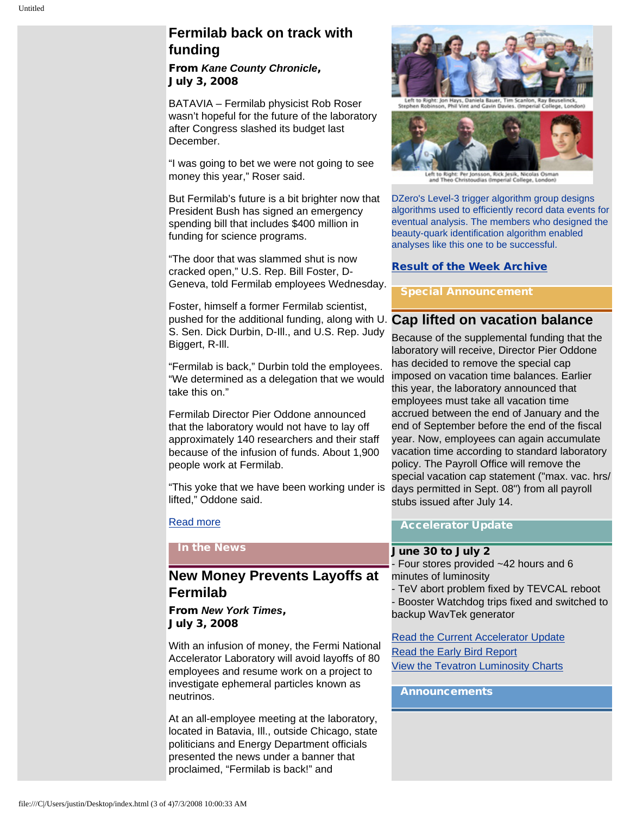# **Fermilab back on track with funding**

From *Kane County Chronicle*, July 3, 2008

BATAVIA – Fermilab physicist Rob Roser wasn't hopeful for the future of the laboratory after Congress slashed its budget last December.

"I was going to bet we were not going to see money this year," Roser said.

But Fermilab's future is a bit brighter now that President Bush has signed an emergency spending bill that includes \$400 million in funding for science programs.

"The door that was slammed shut is now cracked open," U.S. Rep. Bill Foster, D-Geneva, told Fermilab employees Wednesday.

Foster, himself a former Fermilab scientist, pushed for the additional funding, along with U. **Cap lifted on vacation balance** S. Sen. Dick Durbin, D-Ill., and U.S. Rep. Judy Biggert, R-Ill.

"Fermilab is back," Durbin told the employees. "We determined as a delegation that we would take this on."

Fermilab Director Pier Oddone announced that the laboratory would not have to lay off approximately 140 researchers and their staff because of the infusion of funds. About 1,900 people work at Fermilab.

"This yoke that we have been working under is lifted," Oddone said.

#### [Read more](http://www.kcchronicle.com/articles/2008/07/03/news/local/doc486ca22c928bf335726327.txt)

In the News

# **New Money Prevents Layoffs at Fermilab**

From *New York Times*, July 3, 2008

With an infusion of money, the Fermi National Accelerator Laboratory will avoid layoffs of 80 employees and resume work on a project to investigate ephemeral particles known as neutrinos.

At an all-employee meeting at the laboratory, located in Batavia, Ill., outside Chicago, state politicians and Energy Department officials presented the news under a banner that proclaimed, "Fermilab is back!" and



**Vint and Gavin E** 



Left to Right: Per Jonsson, Rick Jesik, Nicolas Osma<br>and Theo Christoudias (Imperial College, London)

DZero's Level-3 trigger algorithm group designs algorithms used to efficiently record data events for eventual analysis. The members who designed the beauty-quark identification algorithm enabled analyses like this one to be successful.

#### [Result of the Week Archive](http://www.fnal.gov/pub/today/resultoftheweek/index.html)

pecial Announcement

Because of the supplemental funding that the laboratory will receive, Director Pier Oddone has decided to remove the special cap imposed on vacation time balances. Earlier this year, the laboratory announced that employees must take all vacation time accrued between the end of January and the end of September before the end of the fiscal year. Now, employees can again accumulate vacation time according to standard laboratory policy. The Payroll Office will remove the special vacation cap statement ("max. vac. hrs/ days permitted in Sept. 08") from all payroll stubs issued after July 14.

#### Accelerator Update

# June 30 to July 2

- Four stores provided ~42 hours and 6 minutes of luminosity - TeV abort problem fixed by TEVCAL reboot - Booster Watchdog trips fixed and switched to

backup WavTek generator [Read the Current Accelerator Update](http://www.fnal.gov/pub/news08/update.html)

[Read the Early Bird Report](http://www-bd.fnal.gov/earlybird/ebird.html) [View the Tevatron Luminosity Charts](http://www.fnal.gov/pub/now/tevlum.html)

#### Announcements